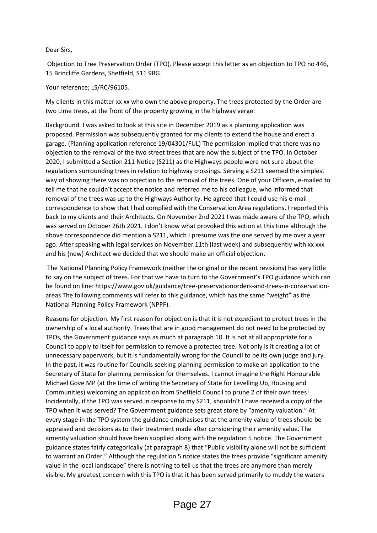## Dear Sirs,

Objection to Tree Preservation Order (TPO). Please accept this letter as an objection to TPO no 446, 15 Brincliffe Gardens, Sheffield, S11 9BG.

## Your reference; LS/RC/96105.

My clients in this matter xx xx who own the above property. The trees protected by the Order are two Lime trees, at the front of the property growing in the highway verge.

Background. I was asked to look at this site in December 2019 as a planning application was proposed. Permission was subsequently granted for my clients to extend the house and erect a garage. (Planning application reference 19/04301/FUL) The permission implied that there was no objection to the removal of the two street trees that are now the subject of the TPO. In October 2020, I submitted a Section 211 Notice (S211) as the Highways people were not sure about the regulations surrounding trees in relation to highway crossings. Serving a S211 seemed the simplest way of showing there was no objection to the removal of the trees. One of your Officers, e-mailed to tell me that he couldn't accept the notice and referred me to his colleague, who informed that removal of the trees was up to the Highways Authority. He agreed that I could use his e-mail correspondence to show that I had complied with the Conservation Area regulations. I reported this back to my clients and their Architects. On November 2nd 2021 I was made aware of the TPO, which was served on October 26th 2021. I don't know what provoked this action at this time although the above correspondence did mention a S211, which I presume was the one served by me over a year ago. After speaking with legal services on November 11th (last week) and subsequently with xx xxx and his (new) Architect we decided that we should make an official objection.

The National Planning Policy Framework (neither the original or the recent revisions) has very little to say on the subject of trees. For that we have to turn to the Government's TPO guidance which can be found on line: https://www.gov.uk/guidance/tree-preservationorders-and-trees-in-conservationareas The following comments will refer to this guidance, which has the same "weight" as the National Planning Policy Framework (NPPF).

Reasons for objection. My first reason for objection is that it is not expedient to protect trees in the ownership of a local authority. Trees that are in good management do not need to be protected by TPOs, the Government guidance says as much at paragraph 10. It is not at all appropriate for a Council to apply to itself for permission to remove a protected tree. Not only is it creating a lot of unnecessary paperwork, but it is fundamentally wrong for the Council to be its own judge and jury. In the past, it was routine for Councils seeking planning permission to make an application to the Secretary of State for planning permission for themselves. I cannot imagine the Right Honourable Michael Gove MP (at the time of writing the Secretary of State for Levelling Up, Housing and Communities) welcoming an application from Sheffield Council to prune 2 of their own trees! Incidentally, if the TPO was served in response to my S211, shouldn't I have received a copy of the TPO when it was served? The Government guidance sets great store by "amenity valuation." At every stage in the TPO system the guidance emphasises that the amenity value of trees should be appraised and decisions as to their treatment made after considering their amenity value. The amenity valuation should have been supplied along with the regulation 5 notice. The Government guidance states fairly categorically (at paragraph 8) that "Public visibility alone will not be sufficient to warrant an Order." Although the regulation 5 notice states the trees provide "significant amenity value in the local landscape" there is nothing to tell us that the trees are anymore than merely visible. My greatest concern with this TPO is that it has been served primarily to muddy the waters